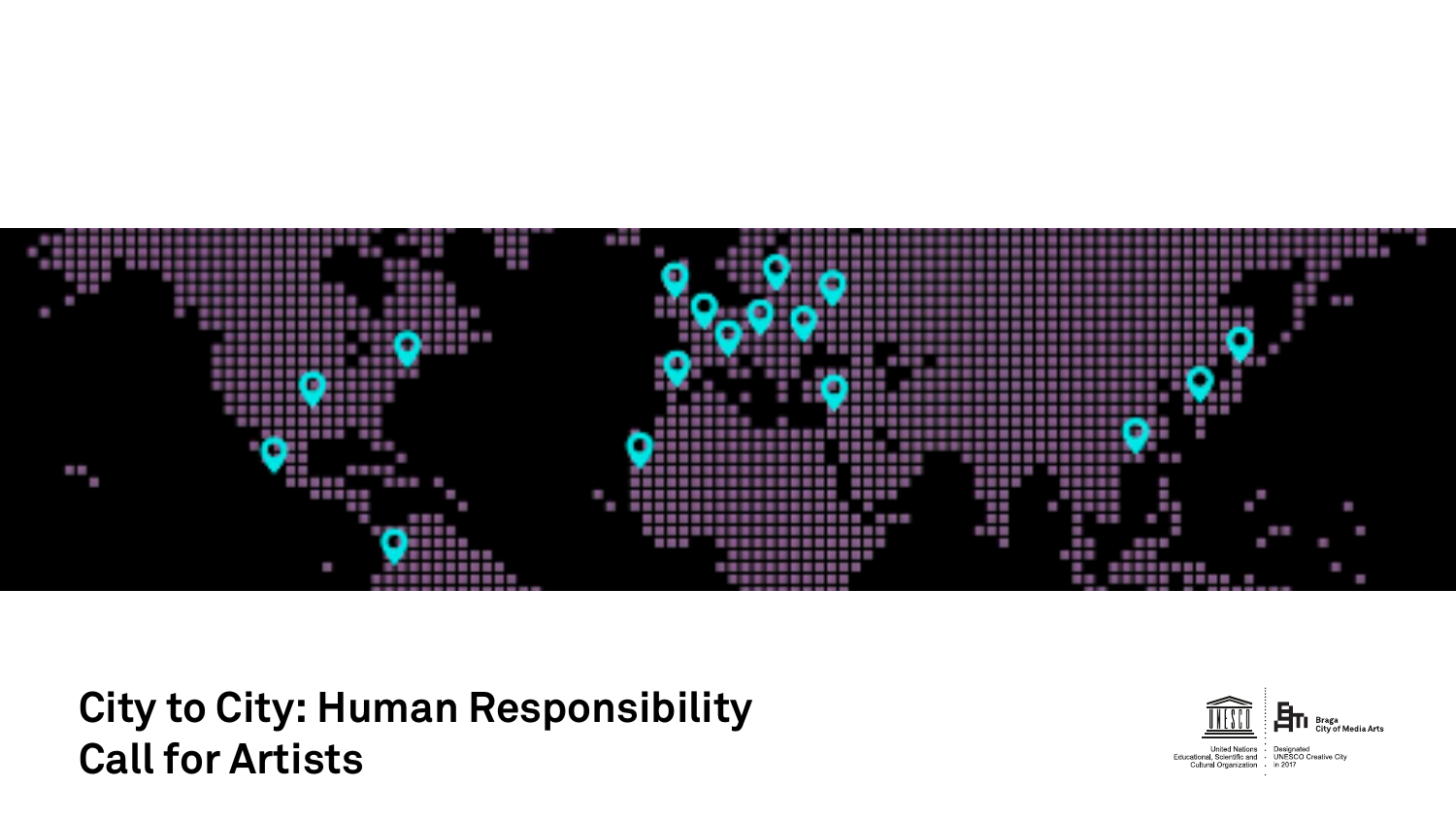

**City to City: Human Responsibility Call for Artists**

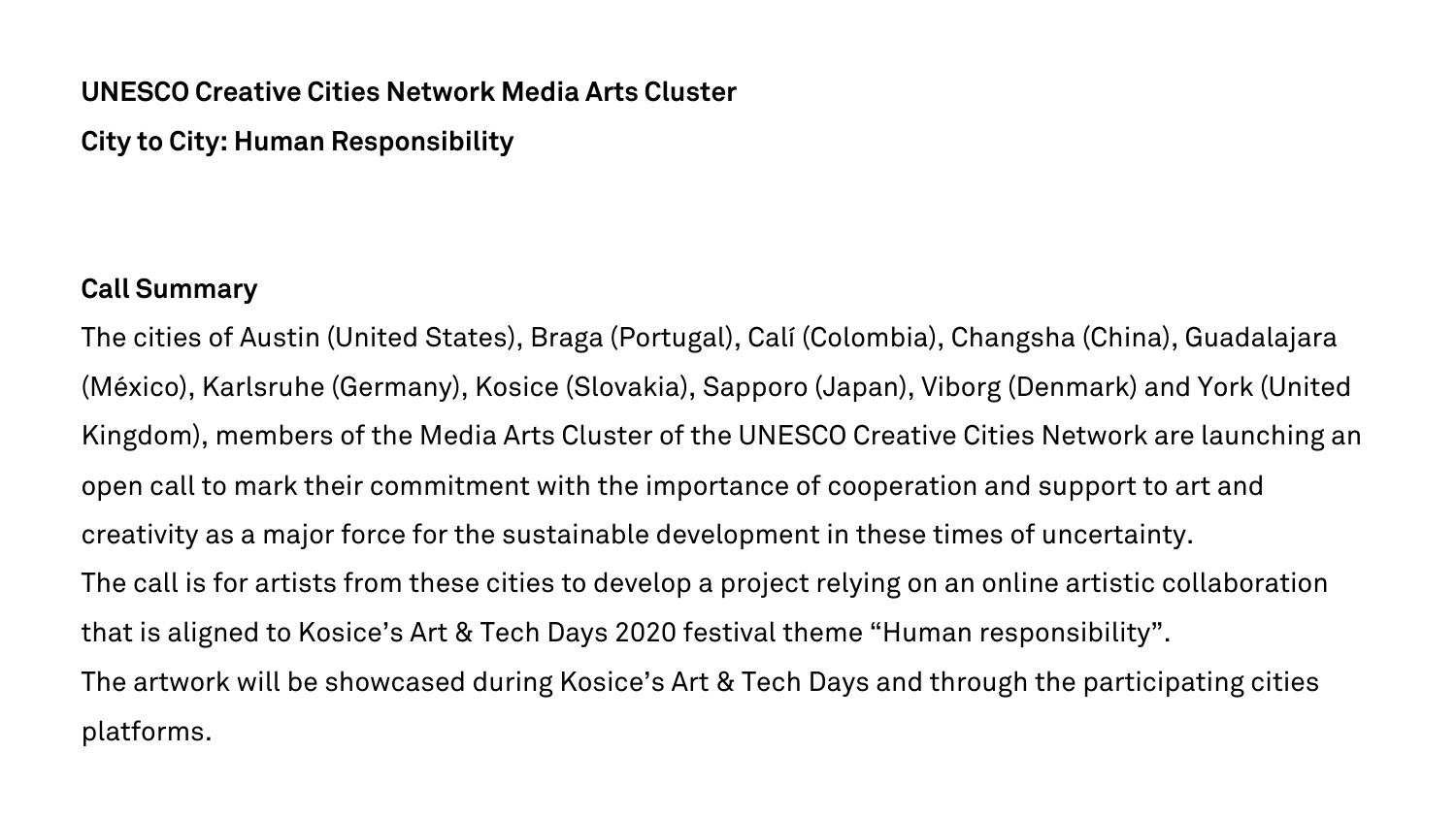## **UNESCO Creative Cities Network Media Arts Cluster**

**City to City: Human Responsibility**

### **Call Summary**

The cities of Austin (United States), Braga (Portugal), Calí (Colombia), Changsha (China), Guadalajara (México), Karlsruhe (Germany), Kosice (Slovakia), Sapporo (Japan), Viborg (Denmark) and York (United Kingdom), members of the Media Arts Cluster of the UNESCO Creative Cities Network are launching an open call to mark their commitment with the importance of cooperation and support to art and creativity as a major force for the sustainable development in these times of uncertainty. The call is for artists from these cities to develop a project relying on an online artistic collaboration that is aligned to Kosice's Art & Tech Days 2020 festival theme "Human responsibility". The artwork will be showcased during Kosice's Art & Tech Days and through the participating cities platforms.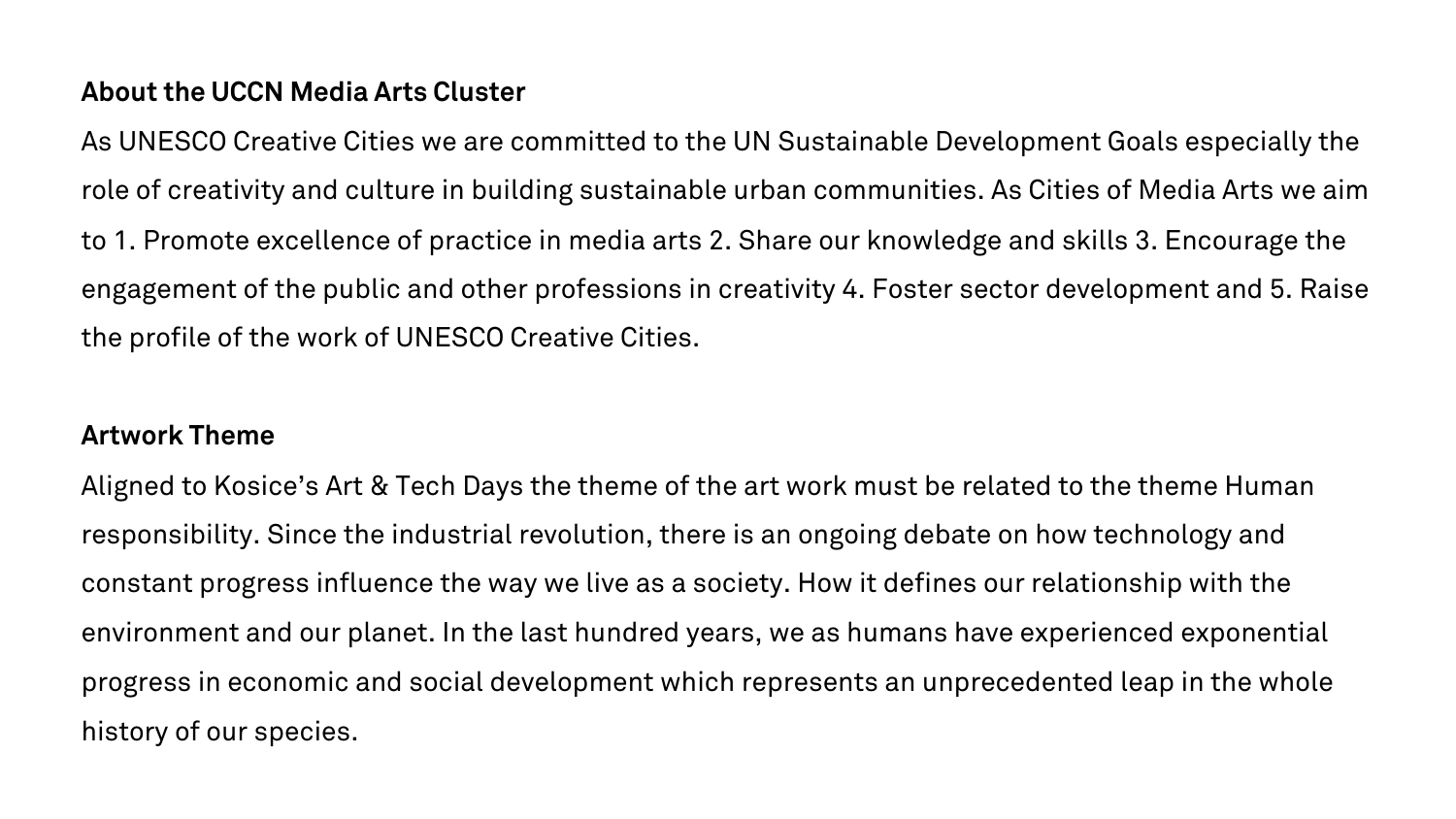## **About the UCCN Media Arts Cluster**

As UNESCO Creative Cities we are committed to the UN Sustainable Development Goals especially the role of creativity and culture in building sustainable urban communities. As Cities of Media Arts we aim to 1. Promote excellence of practice in media arts 2. Share our knowledge and skills 3. Encourage the engagement of the public and other professions in creativity 4. Foster sector development and 5. Raise the profile of the work of UNESCO Creative Cities.

### **Artwork Theme**

Aligned to Kosice's Art & Tech Days the theme of the art work must be related to the theme Human responsibility. Since the industrial revolution, there is an ongoing debate on how technology and constant progress influence the way we live as a society. How it defines our relationship with the environment and our planet. In the last hundred years, we as humans have experienced exponential progress in economic and social development which represents an unprecedented leap in the whole history of our species.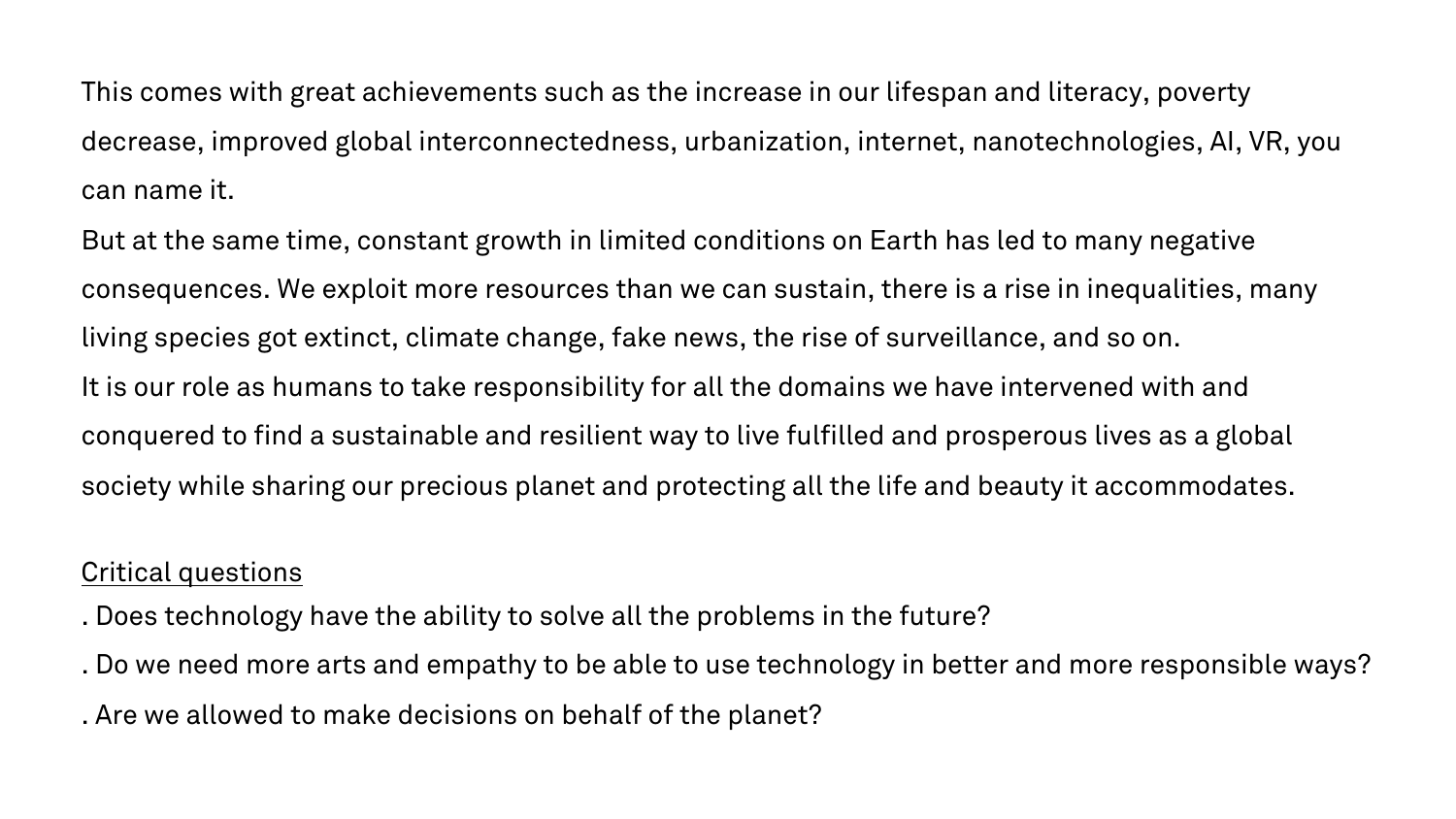This comes with great achievements such as the increase in our lifespan and literacy, poverty decrease, improved global interconnectedness, urbanization, internet, nanotechnologies, AI, VR, you can name it.

But at the same time, constant growth in limited conditions on Earth has led to many negative consequences. We exploit more resources than we can sustain, there is a rise in inequalities, many living species got extinct, climate change, fake news, the rise of surveillance, and so on. It is our role as humans to take responsibility for all the domains we have intervened with and conquered to find a sustainable and resilient way to live fulfilled and prosperous lives as a global society while sharing our precious planet and protecting all the life and beauty it accommodates.

### Critical questions

- . Does technology have the ability to solve all the problems in the future?
- . Do we need more arts and empathy to be able to use technology in better and more responsible ways?

. Are we allowed to make decisions on behalf of the planet?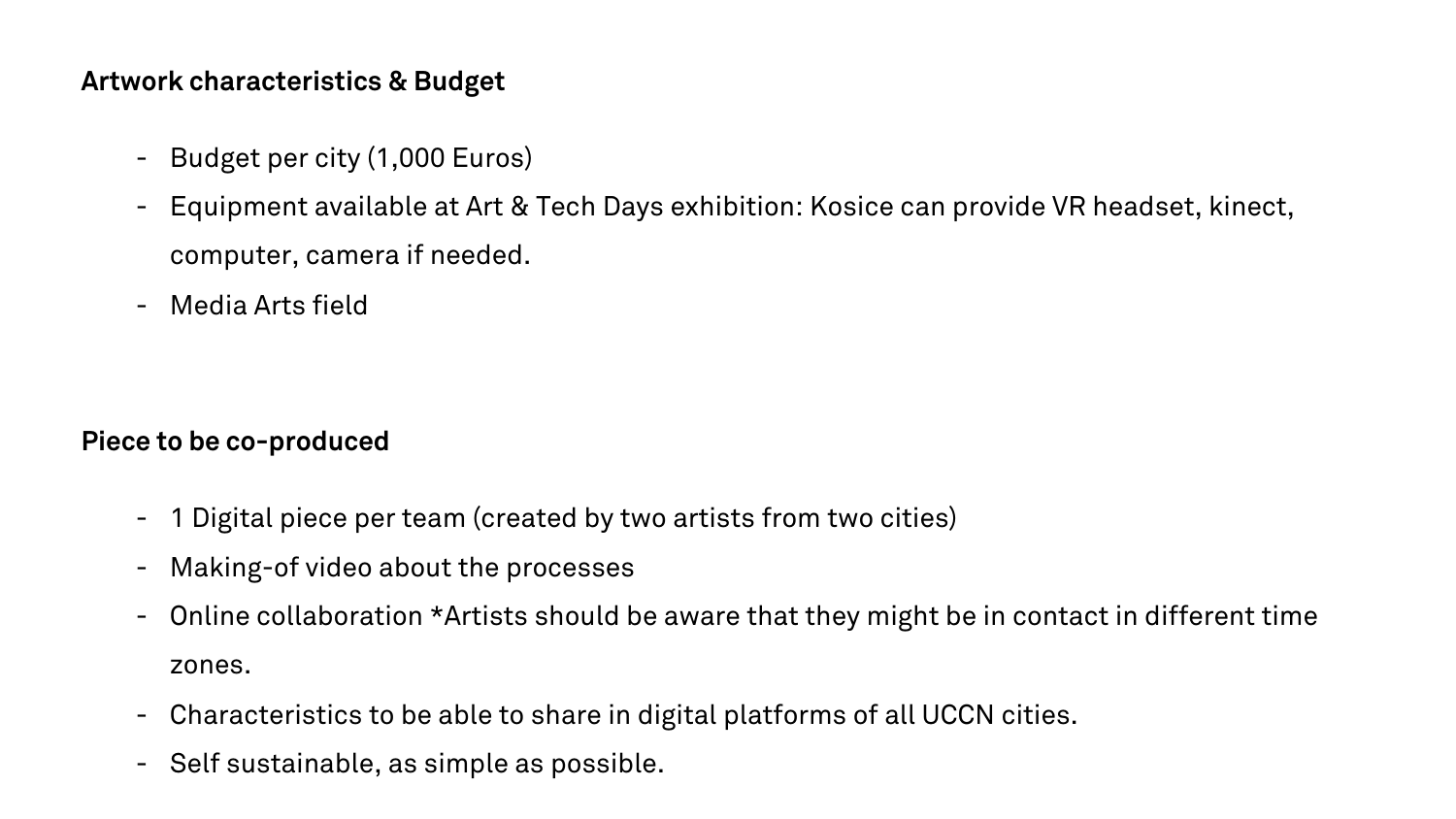## **Artwork characteristics & Budget**

- Budget per city (1,000 Euros)
- Equipment available at Art & Tech Days exhibition: Kosice can provide VR headset, kinect, computer, camera if needed.
- Media Arts field

**Piece to be co-produced**

- 1 Digital piece per team (created by two artists from two cities)
- Making-of video about the processes
- Online collaboration \*Artists should be aware that they might be in contact in different time zones.
- Characteristics to be able to share in digital platforms of all UCCN cities.
- Self sustainable, as simple as possible.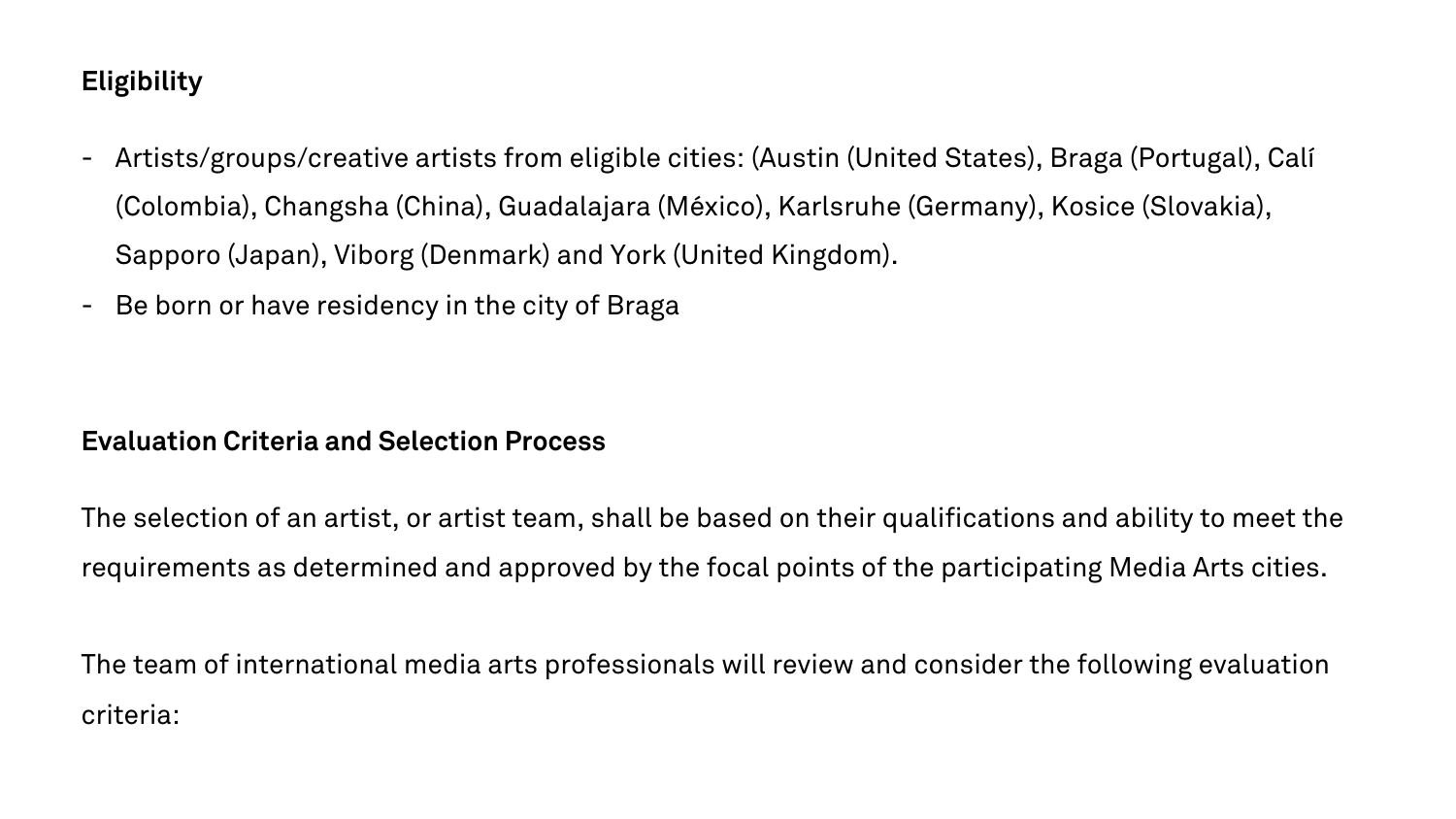# **Eligibility**

- Artists/groups/creative artists from eligible cities: (Austin (United States), Braga (Portugal), Calí (Colombia), Changsha (China), Guadalajara (México), Karlsruhe (Germany), Kosice (Slovakia), Sapporo (Japan), Viborg (Denmark) and York (United Kingdom).
- Be born or have residency in the city of Braga

### **Evaluation Criteria and Selection Process**

The selection of an artist, or artist team, shall be based on their qualifications and ability to meet the requirements as determined and approved by the focal points of the participating Media Arts cities.

The team of international media arts professionals will review and consider the following evaluation criteria: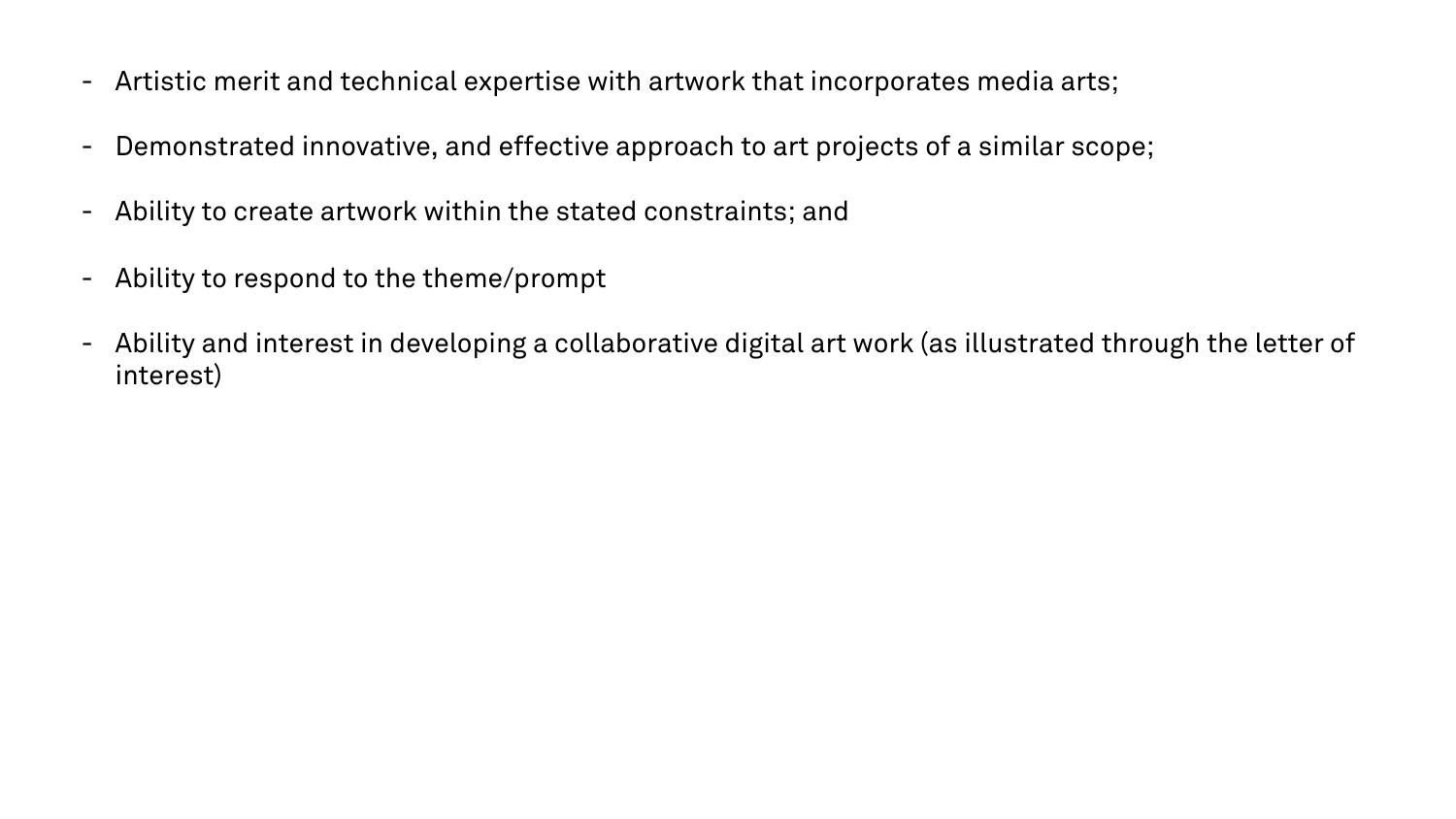- Artistic merit and technical expertise with artwork that incorporates media arts;
- Demonstrated innovative, and effective approach to art projects of a similar scope;
- Ability to create artwork within the stated constraints; and
- Ability to respond to the theme/prompt
- Ability and interest in developing a collaborative digital art work (as illustrated through the letter of interest)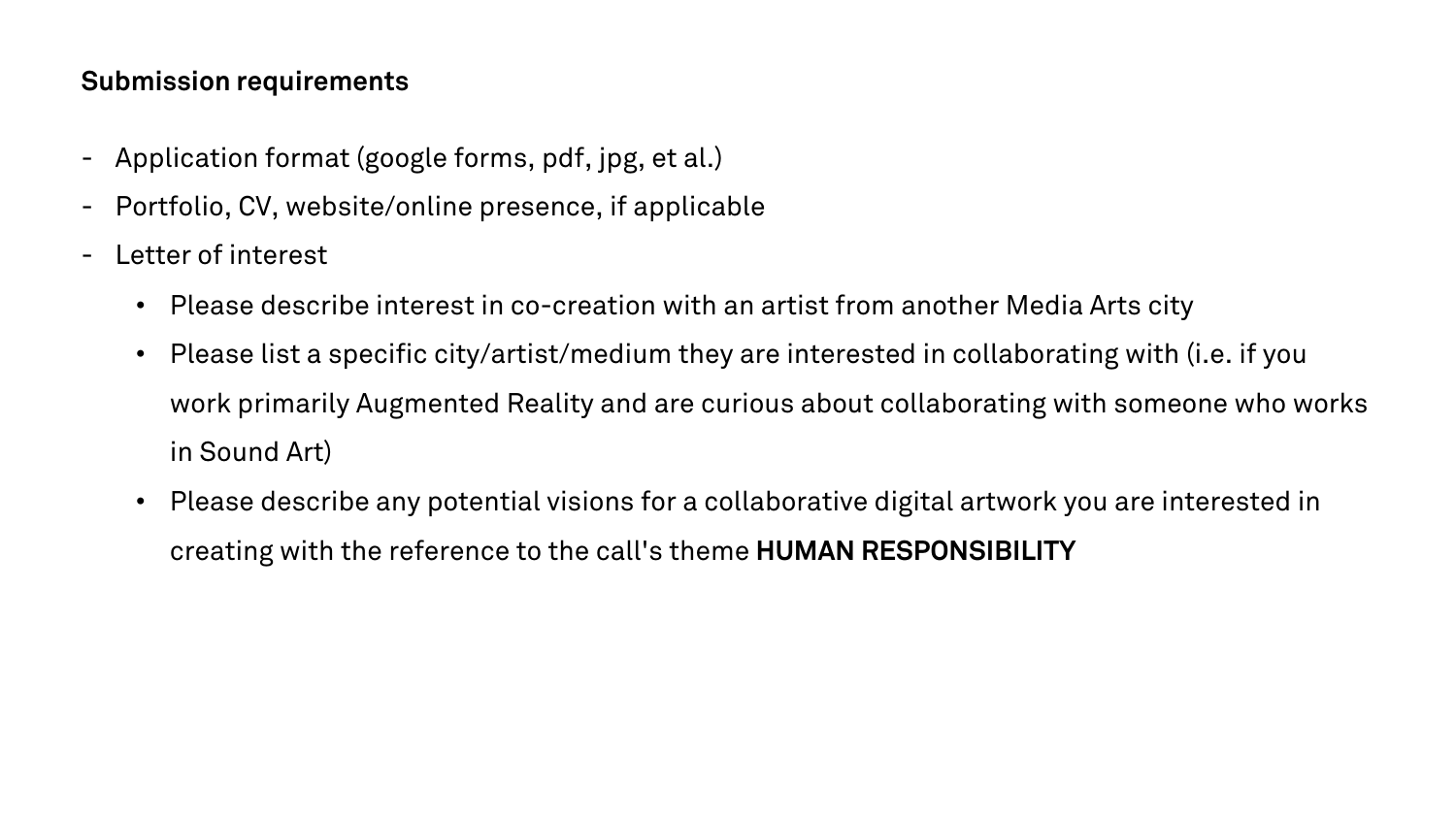## **Submission requirements**

- Application format (google forms, pdf, jpg, et al.)
- Portfolio, CV, website/online presence, if applicable
- Letter of interest
	- Please describe interest in co-creation with an artist from another Media Arts city
	- Please list a specific city/artist/medium they are interested in collaborating with (i.e. if you work primarily Augmented Reality and are curious about collaborating with someone who works in Sound Art)
	- Please describe any potential visions for a collaborative digital artwork you are interested in creating with the reference to the call's theme **HUMAN RESPONSIBILITY**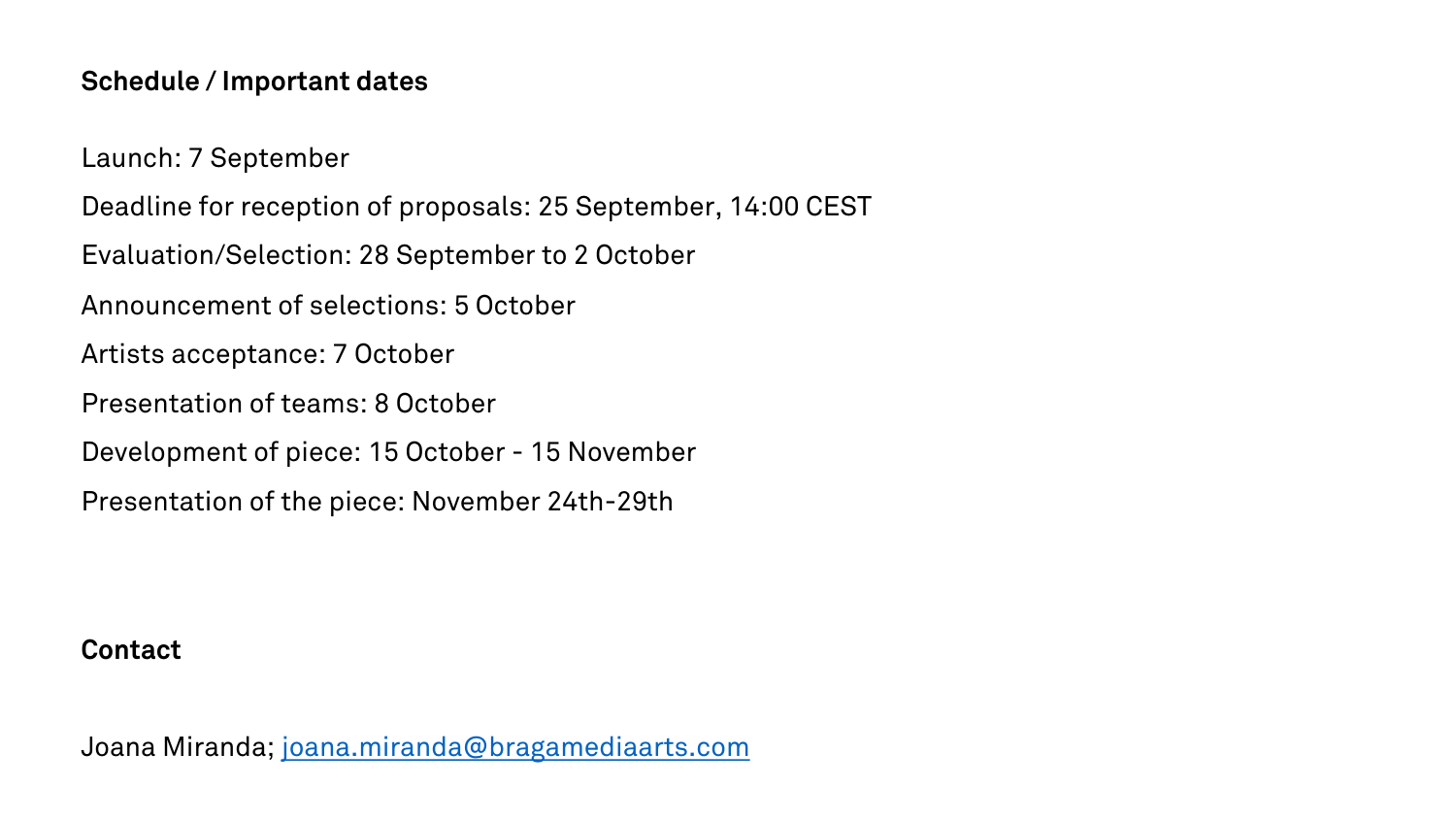## **Schedule / Important dates**

Launch: 7 September

Deadline for reception of proposals: 25 September, 14:00 CEST

Evaluation/Selection: 28 September to 2 October

Announcement of selections: 5 October

Artists accepta[nce: 7 October](mailto:joana.miranda@bragamediaarts.com)

Presentation of teams: 8 October

Development of piece: 15 October - 15 November

Presentation of the piece: November 24th-29th

#### **Contact**

Joana Miranda; joana.miranda@bragamediaarts.com